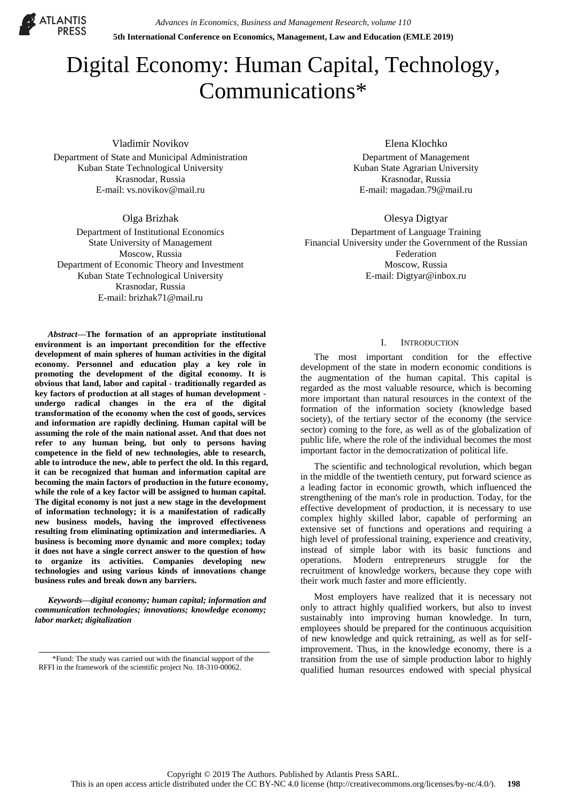

*Advances in Economics, Business and Management Research, volume 110* **5th International Conference on Economics, Management, Law and Education (EMLE 2019)**

# Digital Economy: Human Capital, Technology, Communications\*

Vladimir Novikov

Department of State and Municipal Administration Kuban State Technological University Krasnodar, Russia E-mail: vs.novikov@mail.ru

Olga Brizhak

Department of Institutional Economics State University of Management Moscow, Russia Department of Economic Theory and Investment Kuban State Technological University Krasnodar, Russia E-mail: brizhak71@mail.ru

*Abstract***—The formation of an appropriate institutional environment is an important precondition for the effective development of main spheres of human activities in the digital economy. Personnel and education play a key role in promoting the development of the digital economy. It is obvious that land, labor and capital - traditionally regarded as key factors of production at all stages of human development undergo radical changes in the era of the digital transformation of the economy when the cost of goods, services and information are rapidly declining. Human capital will be assuming the role of the main national asset. And that does not refer to any human being, but only to persons having competence in the field of new technologies, able to research, able to introduce the new, able to perfect the old. In this regard, it can be recognized that human and information capital are becoming the main factors of production in the future economy, while the role of a key factor will be assigned to human capital. The digital economy is not just a new stage in the development of information technology; it is a manifestation of radically new business models, having the improved effectiveness resulting from eliminating optimization and intermediaries. A business is becoming more dynamic and more complex; today it does not have a single correct answer to the question of how to organize its activities. Companies developing new technologies and using various kinds of innovations change business rules and break down any barriers.**

*Keywords—digital economy; human capital; information and communication technologies; innovations; knowledge economy; labor market; digitalization*

Elena Klochko

Department of Management Kuban State Agrarian University Krasnodar, Russia E-mail: magadan.79@mail.ru

Olesya Digtyar

Department of Language Training Financial University under the Government of the Russian Federation Moscow, Russia E-mail: Digtyar@inbox.ru

# I. INTRODUCTION

The most important condition for the effective development of the state in modern economic conditions is the augmentation of the human capital. This capital is regarded as the most valuable resource, which is becoming more important than natural resources in the context of the formation of the information society (knowledge based society), of the tertiary sector of the economy (the service sector) coming to the fore, as well as of the globalization of public life, where the role of the individual becomes the most important factor in the democratization of political life.

The scientific and technological revolution, which began in the middle of the twentieth century, put forward science as a leading factor in economic growth, which influenced the strengthening of the man's role in production. Today, for the effective development of production, it is necessary to use complex highly skilled labor, capable of performing an extensive set of functions and operations and requiring a high level of professional training, experience and creativity, instead of simple labor with its basic functions and operations. Modern entrepreneurs struggle for the recruitment of knowledge workers, because they cope with their work much faster and more efficiently.

Most employers have realized that it is necessary not only to attract highly qualified workers, but also to invest sustainably into improving human knowledge. In turn, employees should be prepared for the continuous acquisition of new knowledge and quick retraining, as well as for selfimprovement. Thus, in the knowledge economy, there is a transition from the use of simple production labor to highly qualified human resources endowed with special physical

<sup>\*</sup>Fund: The study was carried out with the financial support of the RFFI in the framework of the scientific project No. 18-310-00062.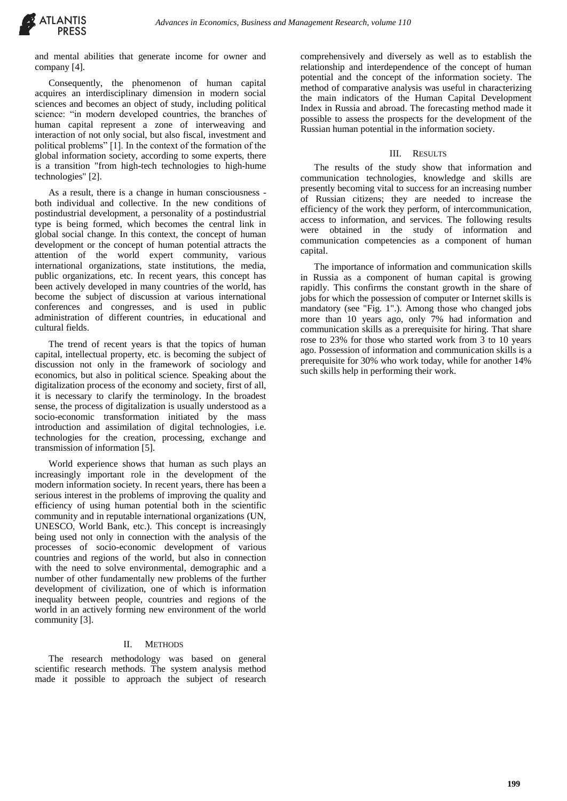and mental abilities that generate income for owner and company [4].

Consequently, the phenomenon of human capital acquires an interdisciplinary dimension in modern social sciences and becomes an object of study, including political science: "in modern developed countries, the branches of human capital represent a zone of interweaving and interaction of not only social, but also fiscal, investment and political problems" [1]. In the context of the formation of the global information society, according to some experts, there is a transition "from high-tech technologies to high-hume technologies" [2].

As a result, there is a change in human consciousness both individual and collective. In the new conditions of postindustrial development, a personality of a postindustrial type is being formed, which becomes the central link in global social change. In this context, the concept of human development or the concept of human potential attracts the attention of the world expert community, various international organizations, state institutions, the media, public organizations, etc. In recent years, this concept has been actively developed in many countries of the world, has become the subject of discussion at various international conferences and congresses, and is used in public administration of different countries, in educational and cultural fields.

The trend of recent years is that the topics of human capital, intellectual property, etc. is becoming the subject of discussion not only in the framework of sociology and economics, but also in political science. Speaking about the digitalization process of the economy and society, first of all, it is necessary to clarify the terminology. In the broadest sense, the process of digitalization is usually understood as a socio-economic transformation initiated by the mass introduction and assimilation of digital technologies, i.e. technologies for the creation, processing, exchange and transmission of information [5].

World experience shows that human as such plays an increasingly important role in the development of the modern information society. In recent years, there has been a serious interest in the problems of improving the quality and efficiency of using human potential both in the scientific community and in reputable international organizations (UN, UNESCO, World Bank, etc.). This concept is increasingly being used not only in connection with the analysis of the processes of socio-economic development of various countries and regions of the world, but also in connection with the need to solve environmental, demographic and a number of other fundamentally new problems of the further development of civilization, one of which is information inequality between people, countries and regions of the world in an actively forming new environment of the world community [3].

# II. METHODS

The research methodology was based on general scientific research methods. The system analysis method made it possible to approach the subject of research comprehensively and diversely as well as to establish the relationship and interdependence of the concept of human potential and the concept of the information society. The method of comparative analysis was useful in characterizing the main indicators of the Human Capital Development Index in Russia and abroad. The forecasting method made it possible to assess the prospects for the development of the Russian human potential in the information society.

# III. RESULTS

The results of the study show that information and communication technologies, knowledge and skills are presently becoming vital to success for an increasing number of Russian citizens; they are needed to increase the efficiency of the work they perform, of intercommunication, access to information, and services. The following results were obtained in the study of information and communication competencies as a component of human capital.

The importance of information and communication skills in Russia as a component of human capital is growing rapidly. This confirms the constant growth in the share of jobs for which the possession of computer or Internet skills is mandatory (see "Fig. 1".). Among those who changed jobs more than 10 years ago, only 7% had information and communication skills as a prerequisite for hiring. That share rose to 23% for those who started work from 3 to 10 years ago. Possession of information and communication skills is a prerequisite for 30% who work today, while for another 14% such skills help in performing their work.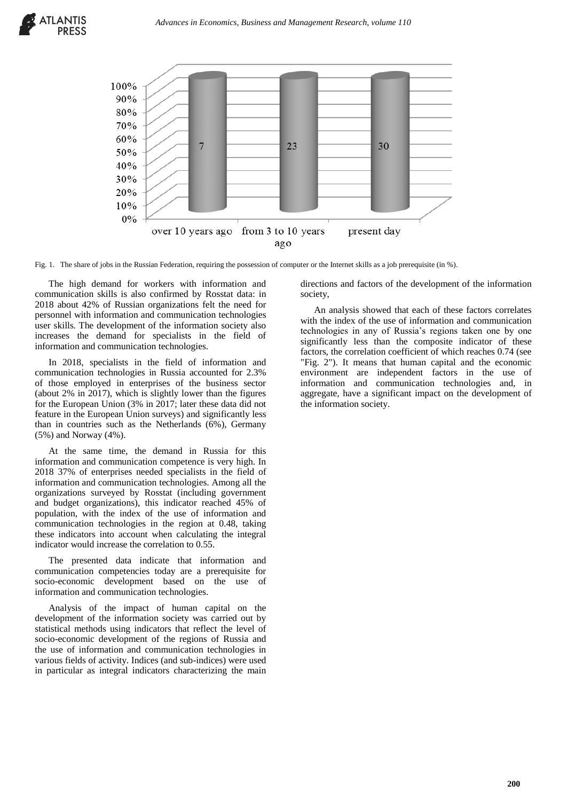

Fig. 1. The share of jobs in the Russian Federation, requiring the possession of computer or the Internet skills as a job prerequisite (in %).

The high demand for workers with information and communication skills is also confirmed by Rosstat data: in 2018 about 42% of Russian organizations felt the need for personnel with information and communication technologies user skills. The development of the information society also increases the demand for specialists in the field of information and communication technologies.

In 2018, specialists in the field of information and communication technologies in Russia accounted for 2.3% of those employed in enterprises of the business sector (about 2% in 2017), which is slightly lower than the figures for the European Union (3% in 2017; later these data did not feature in the European Union surveys) and significantly less than in countries such as the Netherlands (6%), Germany (5%) and Norway (4%).

At the same time, the demand in Russia for this information and communication competence is very high. In 2018 37% of enterprises needed specialists in the field of information and communication technologies. Among all the organizations surveyed by Rosstat (including government and budget organizations), this indicator reached 45% of population, with the index of the use of information and communication technologies in the region at 0.48, taking these indicators into account when calculating the integral indicator would increase the correlation to 0.55.

The presented data indicate that information and communication competencies today are a prerequisite for socio-economic development based on the use of information and communication technologies.

Analysis of the impact of human capital on the development of the information society was carried out by statistical methods using indicators that reflect the level of socio-economic development of the regions of Russia and the use of information and communication technologies in various fields of activity. Indices (and sub-indices) were used in particular as integral indicators characterizing the main

directions and factors of the development of the information society,

An analysis showed that each of these factors correlates with the index of the use of information and communication technologies in any of Russia's regions taken one by one significantly less than the composite indicator of these factors, the correlation coefficient of which reaches 0.74 (see "Fig. 2"). It means that human capital and the economic environment are independent factors in the use of information and communication technologies and, in aggregate, have a significant impact on the development of the information society.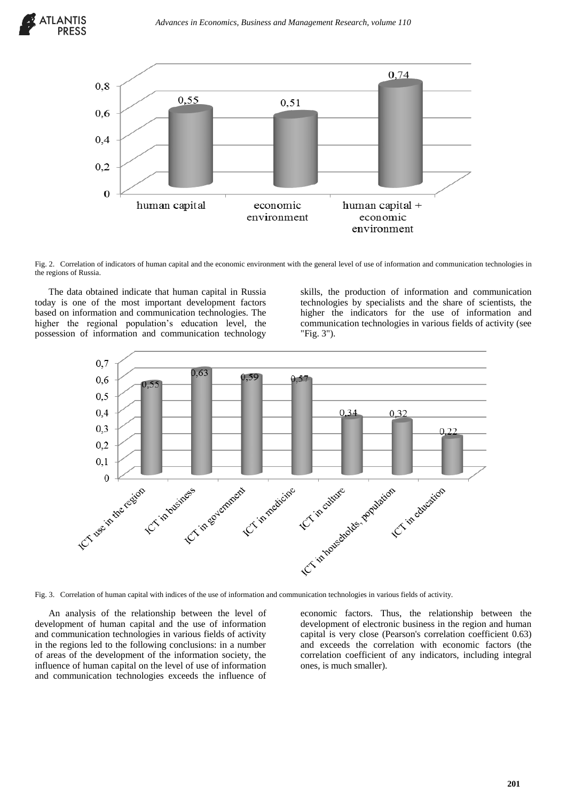



Fig. 2. Correlation of indicators of human capital and the economic environment with the general level of use of information and communication technologies in the regions of Russia.

The data obtained indicate that human capital in Russia today is one of the most important development factors based on information and communication technologies. The higher the regional population's education level, the possession of information and communication technology

skills, the production of information and communication technologies by specialists and the share of scientists, the higher the indicators for the use of information and communication technologies in various fields of activity (see "Fig. 3").



Fig. 3. Correlation of human capital with indices of the use of information and communication technologies in various fields of activity.

An analysis of the relationship between the level of development of human capital and the use of information and communication technologies in various fields of activity in the regions led to the following conclusions: in a number of areas of the development of the information society, the influence of human capital on the level of use of information and communication technologies exceeds the influence of

economic factors. Thus, the relationship between the development of electronic business in the region and human capital is very close (Pearson's correlation coefficient 0.63) and exceeds the correlation with economic factors (the correlation coefficient of any indicators, including integral ones, is much smaller).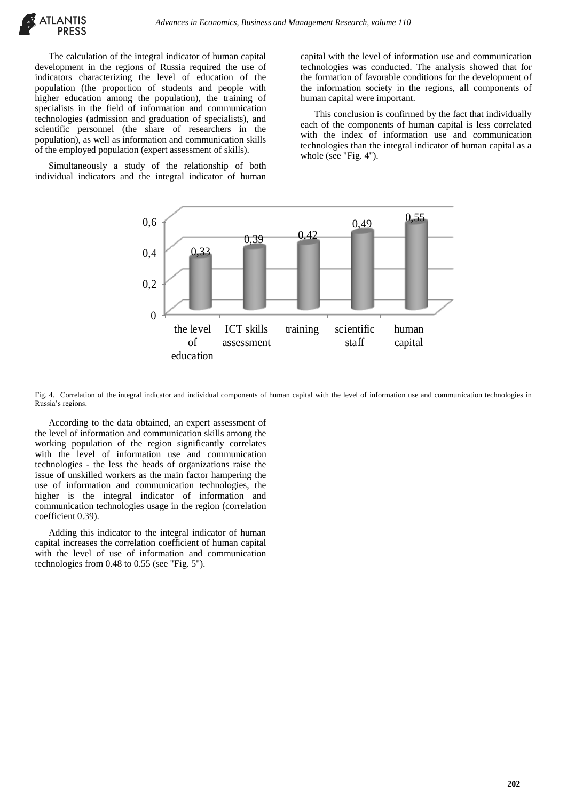The calculation of the integral indicator of human capital development in the regions of Russia required the use of indicators characterizing the level of education of the population (the proportion of students and people with higher education among the population), the training of specialists in the field of information and communication technologies (admission and graduation of specialists), and scientific personnel (the share of researchers in the population), as well as information and communication skills of the employed population (expert assessment of skills).

Simultaneously a study of the relationship of both individual indicators and the integral indicator of human

capital with the level of information use and communication technologies was conducted. The analysis showed that for the formation of favorable conditions for the development of the information society in the regions, all components of human capital were important.

This conclusion is confirmed by the fact that individually each of the components of human capital is less correlated with the index of information use and communication technologies than the integral indicator of human capital as a whole (see "Fig. 4").



Fig. 4. Correlation of the integral indicator and individual components of human capital with the level of information use and communication technologies in Russia's regions.

According to the data obtained, an expert assessment of the level of information and communication skills among the working population of the region significantly correlates with the level of information use and communication technologies - the less the heads of organizations raise the issue of unskilled workers as the main factor hampering the use of information and communication technologies, the higher is the integral indicator of information and communication technologies usage in the region (correlation coefficient 0.39).

Adding this indicator to the integral indicator of human capital increases the correlation coefficient of human capital with the level of use of information and communication technologies from 0.48 to 0.55 (see "Fig. 5").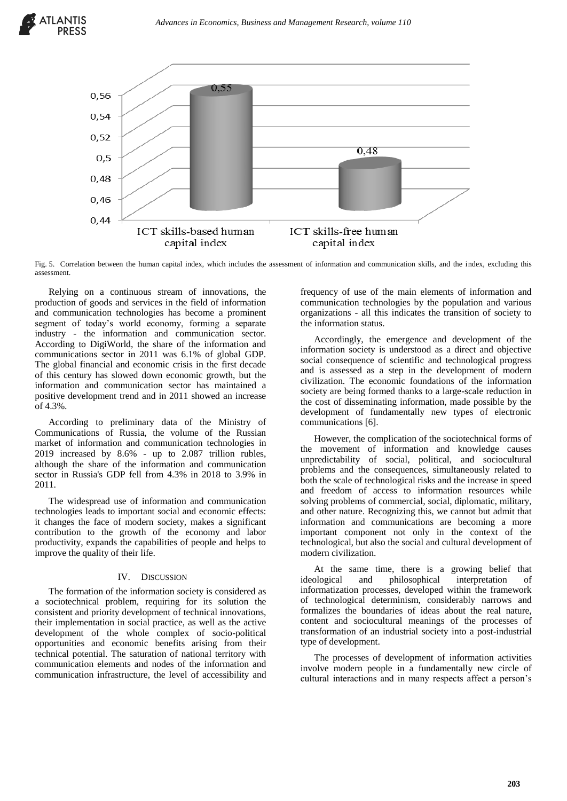

Fig. 5. Correlation between the human capital index, which includes the assessment of information and communication skills, and the index, excluding this assessment.

Relying on a continuous stream of innovations, the production of goods and services in the field of information and communication technologies has become a prominent segment of today's world economy, forming a separate industry - the information and communication sector. According to DigiWorld, the share of the information and communications sector in 2011 was 6.1% of global GDP. The global financial and economic crisis in the first decade of this century has slowed down economic growth, but the information and communication sector has maintained a positive development trend and in 2011 showed an increase of 4.3%.

According to preliminary data of the Ministry of Communications of Russia, the volume of the Russian market of information and communication technologies in 2019 increased by 8.6% - up to 2.087 trillion rubles, although the share of the information and communication sector in Russia's GDP fell from 4.3% in 2018 to 3.9% in 2011.

The widespread use of information and communication technologies leads to important social and economic effects: it changes the face of modern society, makes a significant contribution to the growth of the economy and labor productivity, expands the capabilities of people and helps to improve the quality of their life.

# IV. DISCUSSION

The formation of the information society is considered as a sociotechnical problem, requiring for its solution the consistent and priority development of technical innovations, their implementation in social practice, as well as the active development of the whole complex of socio-political opportunities and economic benefits arising from their technical potential. The saturation of national territory with communication elements and nodes of the information and communication infrastructure, the level of accessibility and frequency of use of the main elements of information and communication technologies by the population and various organizations - all this indicates the transition of society to the information status.

Accordingly, the emergence and development of the information society is understood as a direct and objective social consequence of scientific and technological progress and is assessed as a step in the development of modern civilization. The economic foundations of the information society are being formed thanks to a large-scale reduction in the cost of disseminating information, made possible by the development of fundamentally new types of electronic communications [6].

However, the complication of the sociotechnical forms of the movement of information and knowledge causes unpredictability of social, political, and sociocultural problems and the consequences, simultaneously related to both the scale of technological risks and the increase in speed and freedom of access to information resources while solving problems of commercial, social, diplomatic, military, and other nature. Recognizing this, we cannot but admit that information and communications are becoming a more important component not only in the context of the technological, but also the social and cultural development of modern civilization.

At the same time, there is a growing belief that ideological and philosophical interpretation of informatization processes, developed within the framework of technological determinism, considerably narrows and formalizes the boundaries of ideas about the real nature, content and sociocultural meanings of the processes of transformation of an industrial society into a post-industrial type of development.

The processes of development of information activities involve modern people in a fundamentally new circle of cultural interactions and in many respects affect a person's